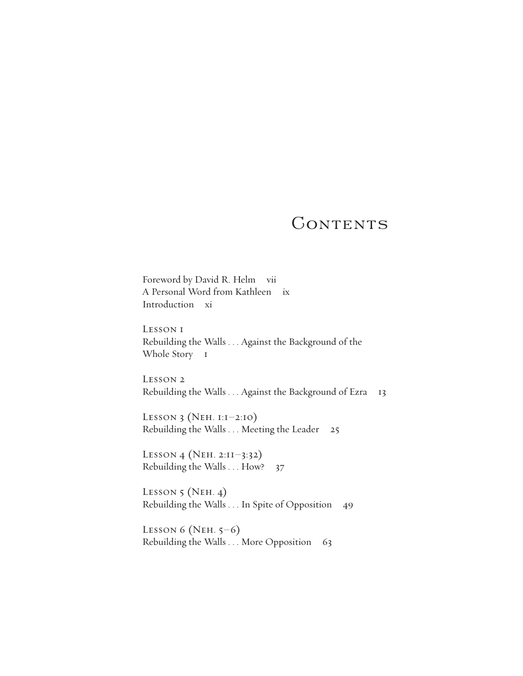# CONTENTS

Foreword by David R. Helm vii A Personal Word from Kathleen ix Introduction xi

Lesson 1 Rebuilding the Walls . . . Against the Background of the Whole Story 1

Lesson 2 Rebuilding the Walls . . . Against the Background of Ezra 13

LESSON 3 (NEH.  $I:I-2:IO$ ) Rebuilding the Walls . . . Meeting the Leader 25

Lesson 4 (Neh. 2:11–3:32) Rebuilding the Walls . . . How? 37

LESSON  $5$  (Neh. 4) Rebuilding the Walls . . . In Spite of Opposition 49

LESSON  $6$  (NEH.  $5-6$ ) Rebuilding the Walls . . . More Opposition 63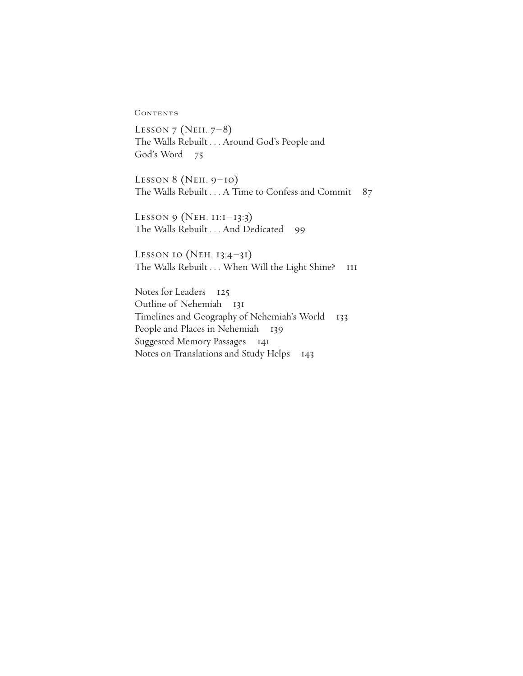**CONTENTS** 

Lesson 7 (Neh. 7–8) The Walls Rebuilt . . . Around God's People and God's Word 75

LESSON 8 (NEH.  $9-10$ ) The Walls Rebuilt . . . A Time to Confess and Commit 87

LESSON 9 (NEH. 11:1–13:3) The Walls Rebuilt . . . And Dedicated 99

LESSON 10 (NEH. 13:4-31) The Walls Rebuilt . . . When Will the Light Shine? 111

Notes for Leaders 125 Outline of Nehemiah 131 Timelines and Geography of Nehemiah's World 133 People and Places in Nehemiah 139 Suggested Memory Passages 141 Notes on Translations and Study Helps 143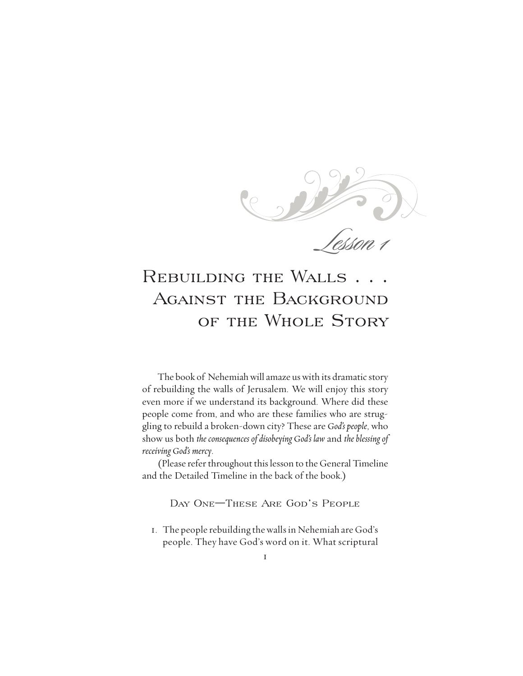$\mathbf C$ Lesson 1

# REBUILDING THE WALLS AGAINST THE BACKGROUND of the Whole Story

The book of Nehemiah will amaze us with its dramatic story of rebuilding the walls of Jerusalem. We will enjoy this story even more if we understand its background. Where did these people come from, and who are these families who are struggling to rebuild a broken-down city? These are *God's people*, who show us both *the consequences of disobeying God's law* and *the blessing of receiving God's mercy*.

(Please refer throughout this lesson to the General Timeline and the Detailed Timeline in the back of the book.)

Day One—These Are God's People

1. The people rebuilding thewallsin Nehemiah are God's people. They have God's word on it. What scriptural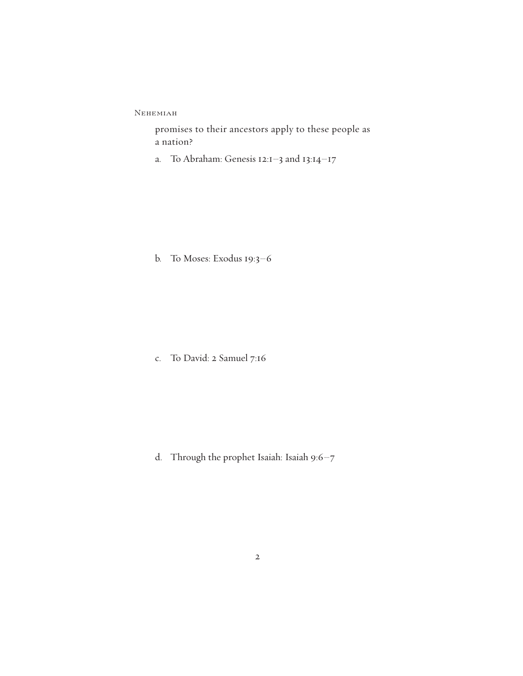promises to their ancestors apply to these people as a nation?

a. To Abraham: Genesis 12:1–3 and 13:14–17

b. To Moses: Exodus 19:3–6

c. To David: 2 Samuel 7:16

d. Through the prophet Isaiah: Isaiah 9:6–7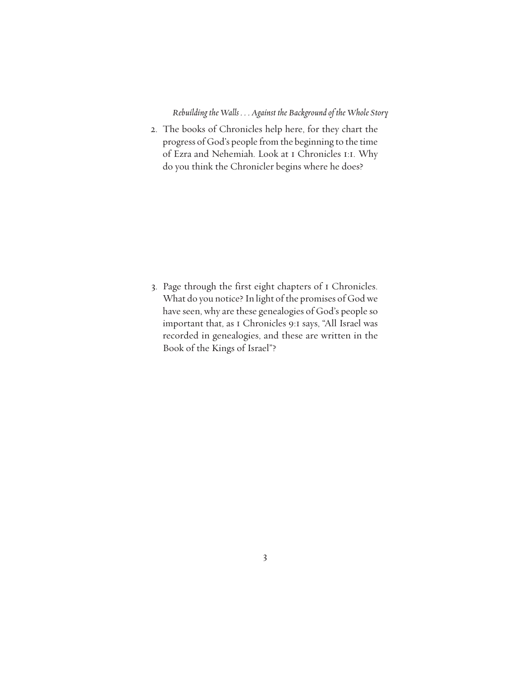2. The books of Chronicles help here, for they chart the progress of God's people from the beginning to the time of Ezra and Nehemiah. Look at 1 Chronicles 1:1. Why do you think the Chronicler begins where he does?

3. Page through the first eight chapters of 1 Chronicles. What do you notice? In light of the promises of God we have seen, why are these genealogies of God's people so important that, as 1 Chronicles 9:1 says, "All Israel was recorded in genealogies, and these are written in the Book of the Kings of Israel"?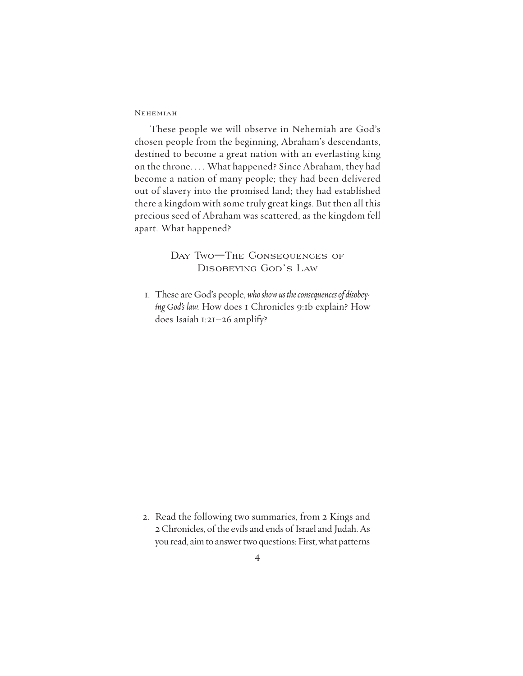#### **NEHEMIAH**

These people we will observe in Nehemiah are God's chosen people from the beginning, Abraham's descendants, destined to become a great nation with an everlasting king on the throne. . . . What happened? Since Abraham, they had become a nation of many people; they had been delivered out of slavery into the promised land; they had established there a kingdom with some truly great kings. But then all this precious seed of Abraham was scattered, as the kingdom fell apart. What happened?

# DAY TWO-THE CONSEQUENCES OF Disobeying God's Law

1. These are God's people, *whoshowustheconsequencesofdisobeying God's law.* How does 1 Chronicles 9:1b explain? How does Isaiah 1:21–26 amplify?

2. Read the following two summaries, from 2 Kings and 2 Chronicles, of the evils and ends of Israel and Judah. As you read, aim to answer two questions: First, what patterns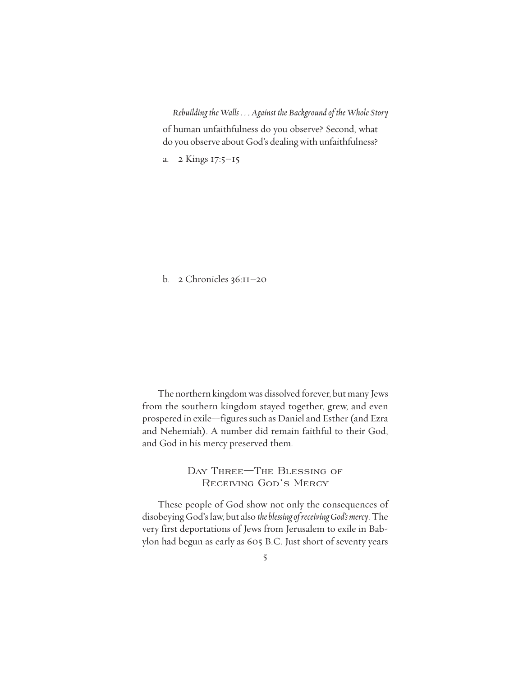of human unfaithfulness do you observe? Second, what do you observe about God's dealing with unfaithfulness?

a. 2 Kings 17:5–15

b. 2 Chronicles 36:11–20

The northern kingdom was dissolved forever, but many Jews from the southern kingdom stayed together, grew, and even prospered in exile—figures such as Daniel and Esther (and Ezra and Nehemiah). A number did remain faithful to their God, and God in his mercy preserved them.

> Day Three—The Blessing of Receiving God's Mercy

These people of God show not only the consequences of disobeying God'slaw, but also *theblessingofreceivingGod'smercy*. The very first deportations of Jews from Jerusalem to exile in Babylon had begun as early as 605 B.C. Just short of seventy years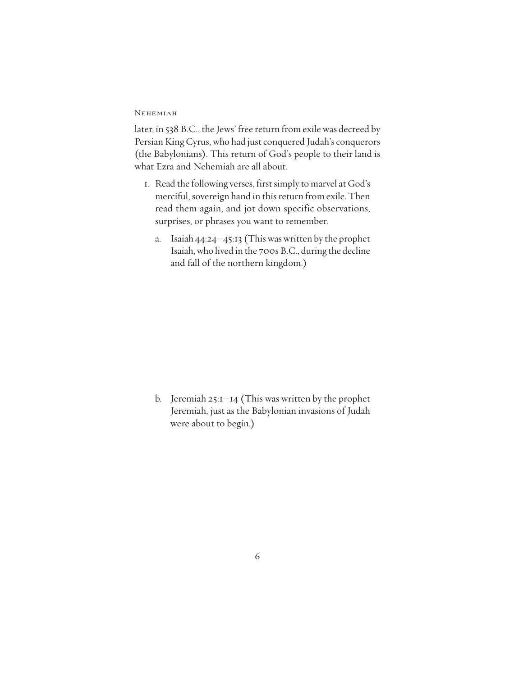later, in 538 B.C., the Jews' free return from exile was decreed by Persian King Cyrus, who had just conquered Judah's conquerors (the Babylonians). This return of God's people to their land is what Ezra and Nehemiah are all about.

- 1. Read the following verses, first simply to marvel at God's merciful, sovereign hand in this return from exile. Then read them again, and jot down specific observations, surprises, or phrases you want to remember.
	- a. Isaiah 44:24–45:13 (Thiswaswritten by the prophet Isaiah,who lived in the 700s B.C., during the decline and fall of the northern kingdom.)

b. Jeremiah  $25:1-14$  (This was written by the prophet Jeremiah, just as the Babylonian invasions of Judah were about to begin.)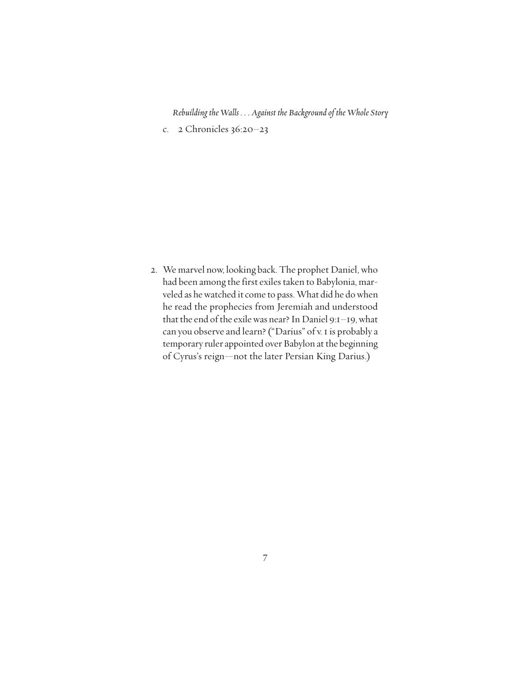c. 2 Chronicles 36:20–23

2. We marvel now, looking back. The prophet Daniel, who had been among the first exiles taken to Babylonia, marveled as hewatched it come to pass. What did he dowhen he read the prophecies from Jeremiah and understood that the end of the exile was near? In Daniel 9:1-19, what can you observe and learn? ("Darius" of v. 1 is probably a temporary ruler appointed over Babylon at the beginning of Cyrus's reign—not the later Persian King Darius.)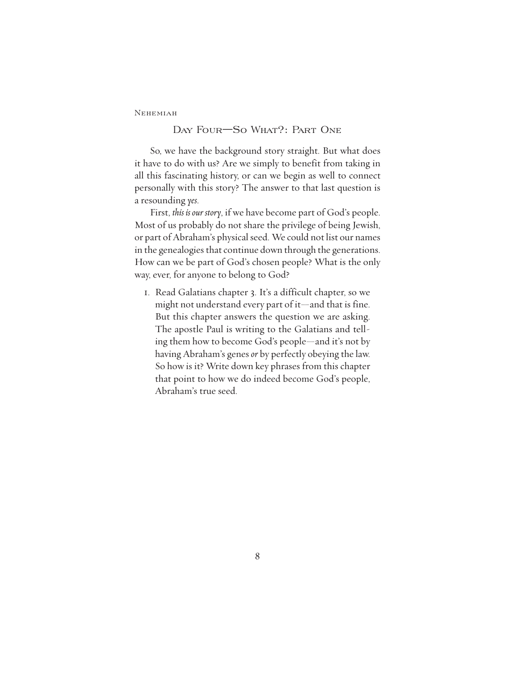### Day Four—So What?: Part One

So, we have the background story straight. But what does it have to do with us? Are we simply to benefit from taking in all this fascinating history, or can we begin as well to connect personally with this story? The answer to that last question is a resounding *yes*.

First, *this is our story*, if we have become part of God's people. Most of us probably do not share the privilege of being Jewish, or part of Abraham's physical seed. We could not list our names in the genealogies that continue down through the generations. How can we be part of God's chosen people? What is the only way, ever, for anyone to belong to God?

1. Read Galatians chapter 3. It's a difficult chapter, so we might not understand every part of it—and that is fine. But this chapter answers the question we are asking. The apostle Paul is writing to the Galatians and telling them how to become God's people—and it's not by having Abraham's genes *or* by perfectly obeying the law. So how is it? Write down key phrases from this chapter that point to how we do indeed become God's people, Abraham's true seed.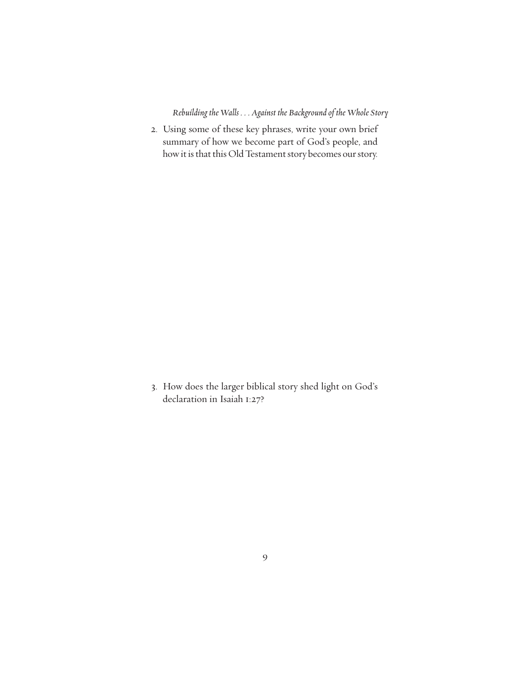2. Using some of these key phrases, write your own brief summary of how we become part of God's people, and how it is that this Old Testament story becomes our story.

3. How does the larger biblical story shed light on God's declaration in Isaiah 1:27?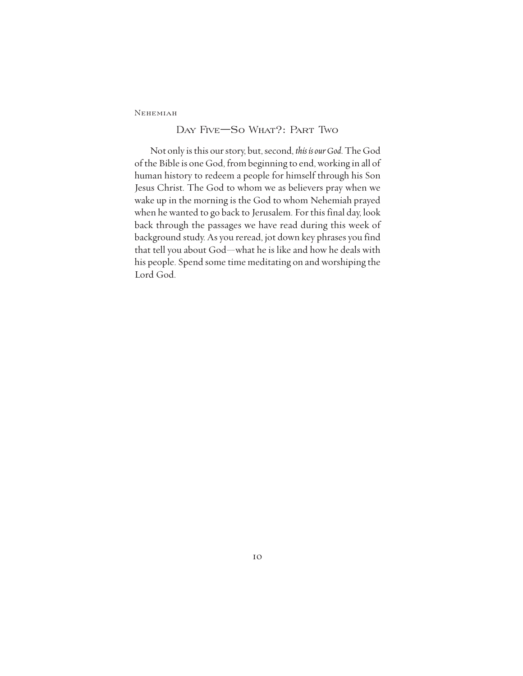# Day Five—So What?: Part Two

Not only is this our story, but, second, *this is our God*. The God of the Bible is one God, from beginning to end, working in all of human history to redeem a people for himself through his Son Jesus Christ. The God to whom we as believers pray when we wake up in the morning is the God to whom Nehemiah prayed when he wanted to go back to Jerusalem. For this final day, look back through the passages we have read during this week of background study. As you reread, jot down key phrases you find that tell you about God—what he is like and how he deals with his people. Spend some time meditating on and worshiping the Lord God.